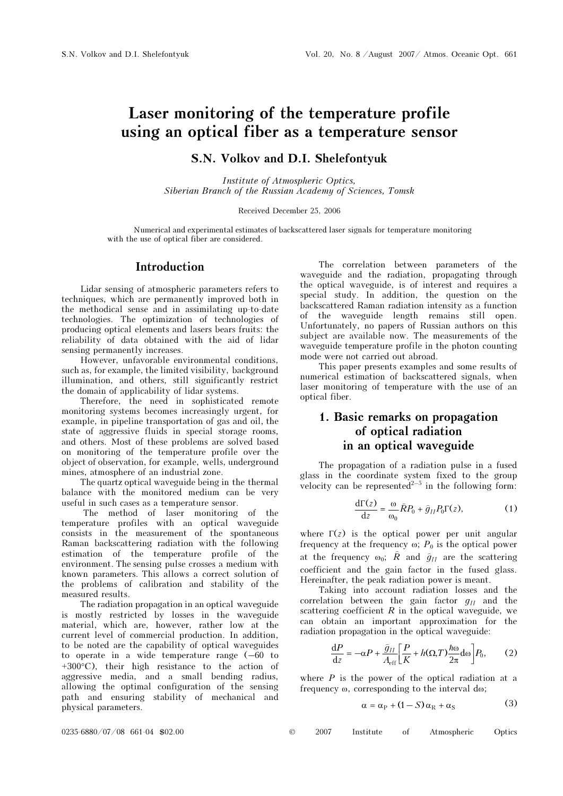# er reduced the temperature cancer  $\mathbf{v}$  as a temperature sensor fiber as a temperature sensor fiber as  $\mathbf{v}$

## S.N. Volkov and D.I. Shelefontyuk

Institute of Atmospheric Optics, Siberian Branch of the Russian Academy of Sciences, Tomsk

Received December 25, 2006

Numerical and experimental estimates of backscattered laser signals for temperature monitoring with the use of optical fiber are considered.

#### Introduction

Lidar sensing of atmospheric parameters refers to techniques, which are permanently improved both in the methodical sense and in assimilating up-to-date technologies. The optimization of technologies of producing optical elements and lasers bears fruits: the reliability of data obtained with the aid of lidar sensing permanently increases.

However, unfavorable environmental conditions, such as, for example, the limited visibility, background illumination, and others, still significantly restrict the domain of applicability of lidar systems.

Therefore, the need in sophisticated remote monitoring systems becomes increasingly urgent, for example, in pipeline transportation of gas and oil, the state of aggressive fluids in special storage rooms, and others. Most of these problems are solved based on monitoring of the temperature profile over the object of observation, for example, wells, underground mines, atmosphere of an industrial zone.

The quartz optical waveguide being in the thermal balance with the monitored medium can be very useful in such cases as a temperature sensor.

 The method of laser monitoring of the temperature profiles with an optical waveguide consists in the measurement of the spontaneous Raman backscattering radiation with the following estimation of the temperature profile of the environment. The sensing pulse crosses a medium with known parameters. This allows a correct solution of the problems of calibration and stability of the measured results.

The radiation propagation in an optical waveguide is mostly restricted by losses in the waveguide material, which are, however, rather low at the current level of commercial production. In addition, to be noted are the capability of optical waveguides to operate in a wide temperature range (–60 to  $+300\textdegree$ C), their high resistance to the action of aggressive media, and a small bending radius, allowing the optimal configuration of the sensing path and ensuring stability of mechanical and physical parameters.

The correlation between parameters of the waveguide and the radiation, propagating through the optical waveguide, is of interest and requires a special study. In addition, the question on the backscattered Raman radiation intensity as a function of the waveguide length remains still open. Unfortunately, no papers of Russian authors on this subject are available now. The measurements of the waveguide temperature profile in the photon counting mode were not carried out abroad.

This paper presents examples and some results of numerical estimation of backscattered signals, when laser monitoring of temperature with the use of an optical fiber.

# 1. Basic remarks on propagation of optical radiation in an optical waveguide

The propagation of a radiation pulse in a fused glass in the coordinate system fixed to the group velocity can be represented<sup>2-5</sup> in the following form:

$$
\frac{\mathrm{d}\Gamma(z)}{\mathrm{d}z} = \frac{\omega}{\omega_0} \hat{R} P_0 + \hat{g}_{II} P_0 \Gamma(z),\tag{1}
$$

where  $\Gamma(z)$  is the optical power per unit angular frequency at the frequency  $\omega$ ;  $P_0$  is the optical power at the frequency  $\omega_0$ ;  $\hat{R}$  and  $\hat{g}_{II}$  are the scattering coefficient and the gain factor in the fused glass. Hereinafter, the peak radiation power is meant.

Taking into account radiation losses and the correlation between the gain factor  $g_{II}$  and the scattering coefficient  $R$  in the optical waveguide, we can obtain an important approximation for the radiation propagation in the optical waveguide:

$$
\frac{\mathrm{d}P}{\mathrm{d}z} = -\alpha P + \frac{\hat{g}_{II}}{A_{\rm eff}} \left[ \frac{P}{K} + h(\Omega, T) \frac{\hbar \omega}{2\pi} \mathrm{d}\omega \right] P_0,\qquad(2)
$$

where  $P$  is the power of the optical radiation at a frequency ω, corresponding to the interval dω;

$$
\alpha = \alpha_{\rm P} + (1 - S)\alpha_{\rm R} + \alpha_{\rm S} \tag{3}
$$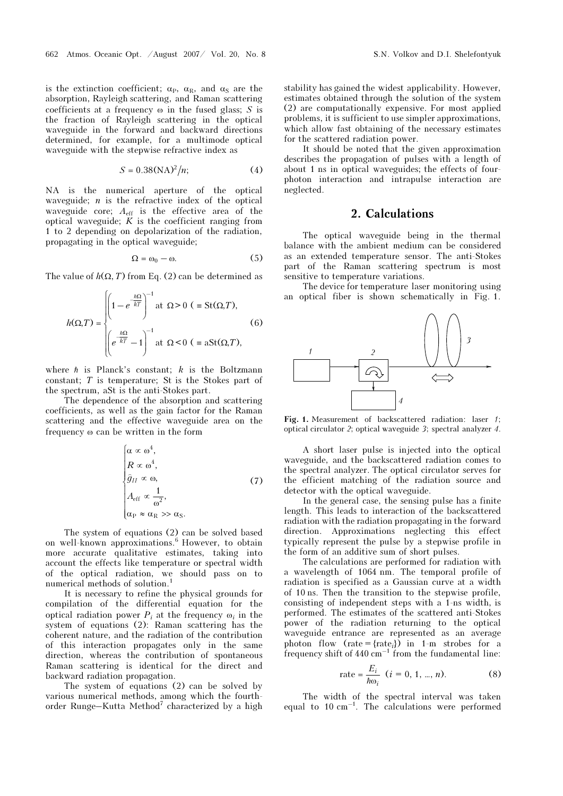is the extinction coefficient;  $\alpha_P$ ,  $\alpha_R$ , and  $\alpha_S$  are the absorption, Rayleigh scattering, and Raman scattering coefficients at a frequency  $\omega$  in the fused glass; S is the fraction of Rayleigh scattering in the optical waveguide in the forward and backward directions determined, for example, for a multimode optical waveguide with the stepwise refractive index as

$$
S = 0.38(NA)^2/n;
$$
 (4)

NA is the numerical aperture of the optical waveguide;  $n$  is the refractive index of the optical waveguide core;  $A_{\text{eff}}$  is the effective area of the optical waveguide;  $K$  is the coefficient ranging from 1 to 2 depending on depolarization of the radiation, propagating in the optical waveguide;

$$
\Omega = \omega_0 - \omega. \tag{5}
$$

The value of  $h(\Omega, T)$  from Eq. (2) can be determined as

$$
h(\Omega, T) = \begin{cases} \left(1 - e^{-\frac{\hbar\Omega}{kT}}\right)^{-1} \text{at } \Omega > 0 \quad (\equiv \text{St}(\Omega, T), \\ \left(e^{-\frac{\hbar\Omega}{kT}} - 1\right)^{-1} \text{at } \Omega < 0 \quad (\equiv \text{aSt}(\Omega, T), \end{cases} \tag{6}
$$

where  $\hbar$  is Planck's constant;  $k$  is the Boltzmann constant; T is temperature; St is the Stokes part of the spectrum, aSt is the anti-Stokes part.

The dependence of the absorption and scattering coefficients, as well as the gain factor for the Raman scattering and the effective waveguide area on the frequency ω can be written in the form

$$
\begin{cases}\n\alpha \propto \omega^4, \\
R \propto \omega^4, \\
\hat{g}_{II} \propto \omega, \\
A_{\text{eff}} \propto \frac{1}{\omega^2}, \\
\alpha_P \approx \alpha_R \gg \alpha_S.\n\end{cases} (7)
$$

The system of equations (2) can be solved based on well-known approximations.<sup>6</sup> However, to obtain more accurate qualitative estimates, taking into account the effects like temperature or spectral width of the optical radiation, we should pass on to numerical methods of solution.<sup>1</sup>

It is necessary to refine the physical grounds for compilation of the differential equation for the optical radiation power  $P_i$  at the frequency  $\omega_i$  in the system of equations (2): Raman scattering has the coherent nature, and the radiation of the contribution of this interaction propagates only in the same direction, whereas the contribution of spontaneous Raman scattering is identical for the direct and backward radiation propagation.

The system of equations (2) can be solved by various numerical methods, among which the fourthorder Runge-Kutta Method<sup>7</sup> characterized by a high

stability has gained the widest applicability. However, estimates obtained through the solution of the system (2) are computationally expensive. For most applied problems, it is sufficient to use simpler approximations, which allow fast obtaining of the necessary estimates for the scattered radiation power.

It should be noted that the given approximation describes the propagation of pulses with a length of about 1 ns in optical waveguides; the effects of fourphoton interaction and intrapulse interaction are neglected.

### 2. Calculations

The optical waveguide being in the thermal balance with the ambient medium can be considered as an extended temperature sensor. The anti-Stokes part of the Raman scattering spectrum is most sensitive to temperature variations.

The device for temperature laser monitoring using an optical fiber is shown schematically in Fig. 1.



Fig. 1. Measurement of backscattered radiation: laser 1; optical circulator 2; optical waveguide 3; spectral analyzer 4.

A short laser pulse is injected into the optical waveguide, and the backscattered radiation comes to the spectral analyzer. The optical circulator serves for the efficient matching of the radiation source and detector with the optical waveguide.

In the general case, the sensing pulse has a finite length. This leads to interaction of the backscattered radiation with the radiation propagating in the forward direction. Approximations neglecting this effect typically represent the pulse by a stepwise profile in the form of an additive sum of short pulses.

The calculations are performed for radiation with a wavelength of 1064 nm. The temporal profile of radiation is specified as a Gaussian curve at a width of 10 ns. Then the transition to the stepwise profile, consisting of independent steps with a 1-ns width, is performed. The estimates of the scattered anti-Stokes power of the radiation returning to the optical waveguide entrance are represented as an average photon flow  $(\text{rate} = {\text{rate}_i})$  in 1-m strobes for a frequency shift of  $440 \text{ cm}^{-1}$  from the fundamental line:

rate = 
$$
\frac{E_i}{\hbar \omega_i}
$$
 (*i* = 0, 1, ..., *n*). (8)

The width of the spectral interval was taken equal to  $10 \text{ cm}^{-1}$ . The calculations were performed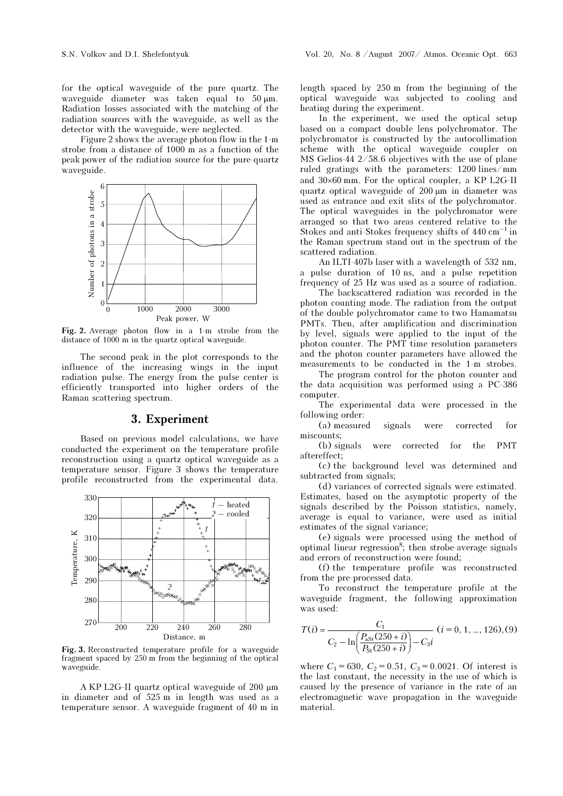for the optical waveguide of the pure quartz. The waveguide diameter was taken equal to 50 μm. Radiation losses associated with the matching of the radiation sources with the waveguide, as well as the detector with the waveguide, were neglected.

Figure 2 shows the average photon flow in the 1-m strobe from a distance of 1000 m as a function of the peak power of the radiation source for the pure-quartz waveguide.



Fig. 2. Average photon flow in a 1-m strobe from the distance of 1000 m in the quartz optical waveguide.

The second peak in the plot corresponds to the influence of the increasing wings in the input radiation pulse. The energy from the pulse center is efficiently transported into higher orders of the Raman scattering spectrum.

#### 3. Experiment

Based on previous model calculations, we have conducted the experiment on the temperature profile reconstruction using a quartz optical waveguide as a temperature sensor. Figure 3 shows the temperature profile reconstructed from the experimental data.



Fig. 3. Reconstructed temperature profile for a waveguide fragment spaced by 250 m from the beginning of the optical waveguide.

A KP L2G-II quartz optical waveguide of 200 μm in diameter and of 525 m in length was used as a temperature sensor. A waveguide fragment of 40 m in length spaced by 250 m from the beginning of the optical waveguide was subjected to cooling and heating during the experiment.

In the experiment, we used the optical setup based on a compact double lens polychromator. The polychromator is constructed by the autocollimation scheme with the optical waveguide coupler on MS Gelios-44 2/58.6 objectives with the use of plane ruled gratings with the parameters: 1200 lines/mm and 30×60 mm. For the optical coupler, a KP L2G-II quartz optical waveguide of 200 μm in diameter was used as entrance and exit slits of the polychromator. The optical waveguides in the polychromator were arranged so that two areas centered relative to the Stokes and anti-Stokes frequency shifts of  $440 \text{ cm}^{-1}$  in the Raman spectrum stand out in the spectrum of the scattered radiation.

An ILTI-407b laser with a wavelength of 532 nm, a pulse duration of 10 ns, and a pulse repetition frequency of 25 Hz was used as a source of radiation.

 The backscattered radiation was recorded in the photon counting mode. The radiation from the output of the double polychromator came to two Hamamatsu PMTs. Then, after amplification and discrimination by level, signals were applied to the input of the photon counter. The PMT time resolution parameters and the photon counter parameters have allowed the measurements to be conducted in the 1-m strobes.

 The program control for the photon counter and the data acquisition was performed using a PC-386 computer.

The experimental data were processed in the following order:

(a) measured signals were corrected for miscounts;

(b) signals were corrected for the PMT aftereffect;

(c) the background level was determined and subtracted from signals;

(d) variances of corrected signals were estimated. Estimates, based on the asymptotic property of the signals described by the Poisson statistics, namely, average is equal to variance, were used as initial estimates of the signal variance;

(e) signals were processed using the method of optimal linear regression<sup>8</sup>; then strobe-average signals and errors of reconstruction were found;

(f) the temperature profile was reconstructed from the pre-processed data.

To reconstruct the temperature profile at the waveguide fragment, the following approximation was used:

$$
T(i) = \frac{C_1}{C_2 - \ln\left(\frac{P_{\text{ast}}(250 + i)}{P_{\text{st}}(250 + i)}\right) - C_3 i} \quad (i = 0, 1, ..., 126), (9)
$$

where  $C_1 = 630$ ,  $C_2 = 0.51$ ,  $C_3 = 0.0021$ . Of interest is the last constant, the necessity in the use of which is caused by the presence of variance in the rate of an electromagnetic wave propagation in the waveguide material.